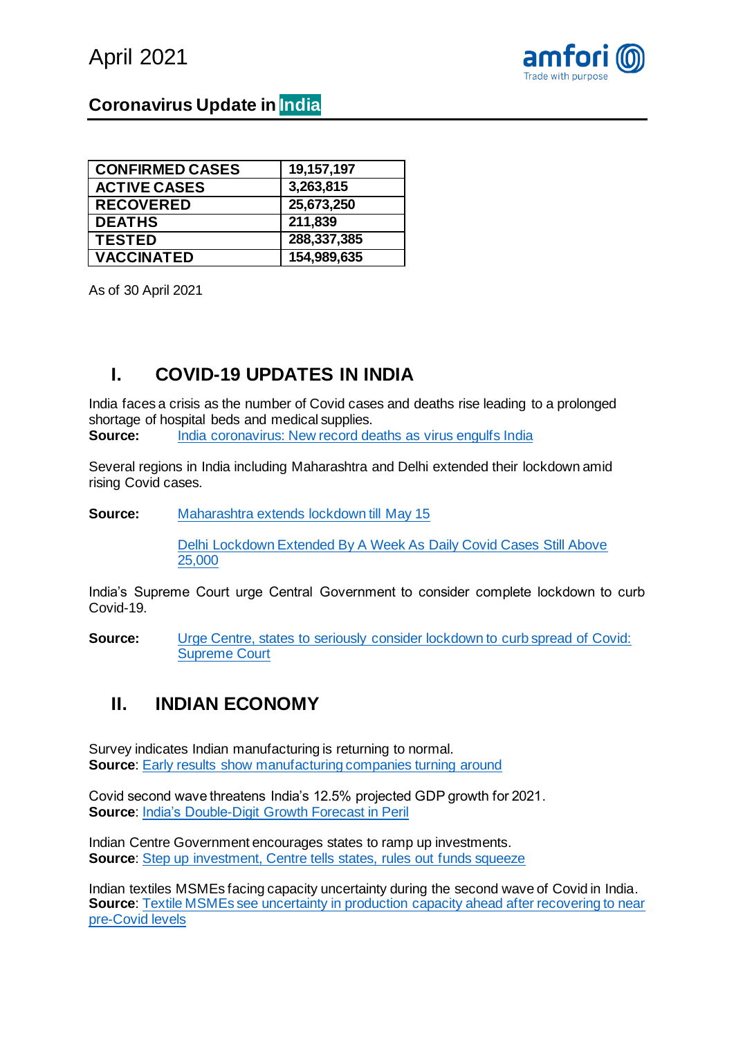



### **Coronavirus Update in India**

| <b>CONFIRMED CASES</b> | 19,157,197  |
|------------------------|-------------|
| <b>ACTIVE CASES</b>    | 3,263,815   |
| <b>RECOVERED</b>       | 25,673,250  |
| <b>DEATHS</b>          | 211,839     |
| <b>TESTED</b>          | 288,337,385 |
| <b>VACCINATED</b>      | 154,989,635 |

As of 30 April 2021

## **I. COVID-19 UPDATES IN INDIA**

India faces a crisis as the number of Covid cases and deaths rise leading to a prolonged shortage of hospital beds and medical supplies. **Source:** [India coronavirus: New record deaths as virus engulfs India](https://www.bbc.com/news/world-asia-india-56961940)

Several regions in India including Maharashtra and Delhi extended their lockdown amid rising Covid cases.

**Source:** [Maharashtra extends lockdown till May 15](https://www.hindustantimes.com/cities/mumbai-news/maharashtra-extends-lockdown-till-may-15-101619723983700.html)

[Delhi Lockdown Extended By A Week As Daily Covid Cases Still Above](https://www.ndtv.com/india-news/lockdown-in-delhi-is-being-extended-by-one-week-tweets-arvind-kejriwal-2425971)  [25,000](https://www.ndtv.com/india-news/lockdown-in-delhi-is-being-extended-by-one-week-tweets-arvind-kejriwal-2425971)

India's Supreme Court urge Central Government to consider complete lockdown to curb Covid-19.

**Source:** Urge Centre, states to seriously consider lockdown to curb spread of Covid: [Supreme Court](https://www.indiatoday.in/coronavirus-outbreak/story/centre-states-seriously-consider-lockdown-covid-spread-corona-cases-supreme-court-1798195-2021-05-03)

#### **II. INDIAN ECONOMY**

Survey indicates Indian manufacturing is returning to normal. **Source:** [Early results show manufacturing companies turning around](https://www.cmie.com/kommon/bin/sr.php?kall=warticle&dt=2021-04-30%2012:14:35&msec=283)

Covid second wave threatens India's 12.5% projected GDP growth for 2021. **Source**: [India's Double-Digit Growth Forecast in Peril](https://www.bloomberg.com/news/articles/2021-04-24/world-s-fastest-recovery-outlook-at-risk-as-virus-sweeps-india)

Indian Centre Government encourages states to ramp up investments. **Source:** [Step up investment, Centre tells states, rules out funds squeeze](https://timesofindia.indiatimes.com/business/india-business/step-up-investment-centre-tells-states-rules-out-funds-squeeze/articleshow/82349495.cms)

Indian textiles MSMEs facing capacity uncertainty during the second wave of Covid in India. **Source:** Textile MSMEs see uncertainty in production capacity ahead after recovering to near [pre-Covid levels](https://www.financialexpress.com/industry/sme/msme-eodb-textile-msmes-see-uncertainty-in-production-capacity-ahead-after-recovering-to-near-pre-covid-levels/2237696/)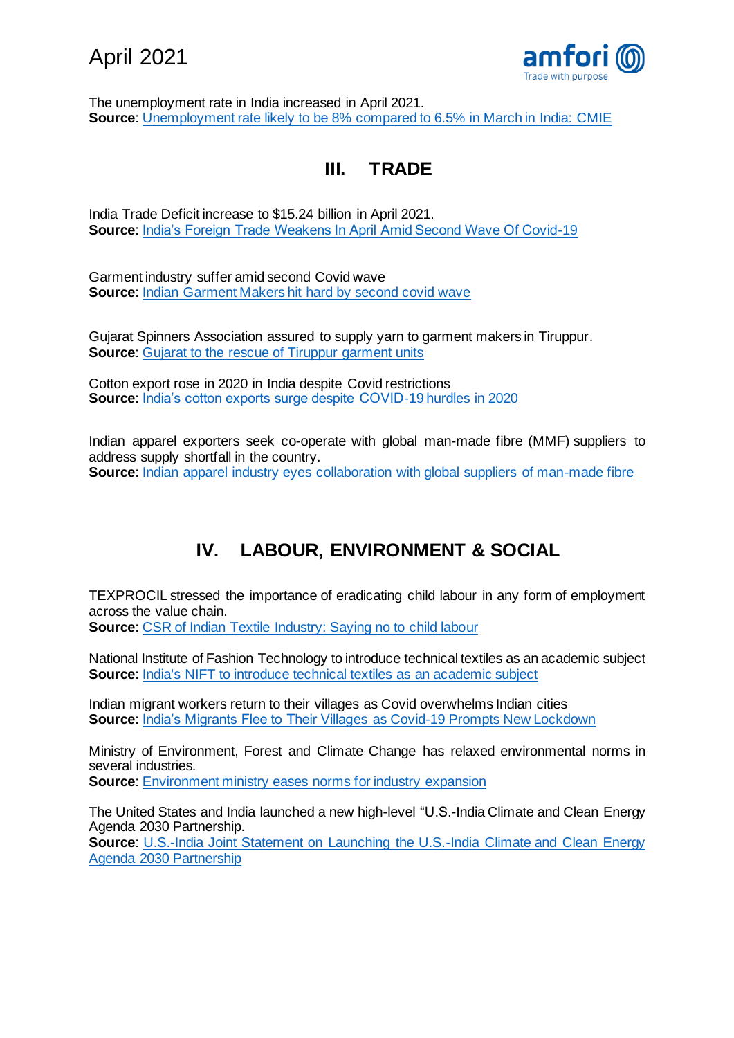



The unemployment rate in India increased in April 2021. **Source**: [Unemployment rate likely to be 8% compared to 6.5% in March in India: CMIE](https://economictimes.indiatimes.com/news/economy/indicators/unemployment-rate-likely-to-be-8-compared-to-6-5-in-march-in-india-cmie/articleshow/82309759.cms)

# **III. TRADE**

India Trade Deficit increase to \$15.24 billion in April 2021. **Source**: [India's Foreign Trade Weakens In April Amid Second Wave Of Covid-19](https://www.bloombergquint.com/business/indias-foreign-trade-weakens-in-april-amid-second-wave-of-covid-19)

Garment industry suffer amid second Covid wave **Source:** [Indian Garment Makers hit hard by second covid wave](https://www.just-style.com/analysis/india-garment-makers-hit-hard-by-second-covid-wave_id141301.aspx)

Gujarat Spinners Association assured to supply yarn to garment makers in Tiruppur. **Source:** [Gujarat to the rescue of Tiruppur garment units](https://www.newindianexpress.com/states/tamil-nadu/2021/apr/09/gujarat-to-the-rescue-of-tiruppur-garment-units-2287716.html)

Cotton export rose in 2020 in India despite Covid restrictions **Source**: [India's cotton exports surge despite COVID-19 hurdles in 2020](https://www.moneycontrol.com/news/business/indias-cotton-exports-surge-despite-covid-19-hurdles-in-2020-6747071.html)

Indian apparel exporters seek co-operate with global man-made fibre (MMF) suppliers to address supply shortfall in the country. **Source:** [Indian apparel industry eyes collaboration with global suppliers of man-made fibre](https://www.thehindubusinessline.com/economy/indian-apparel-industry-eyes-collaboration-with-global-suppliers-of-man-made-fibre/article34297016.ece)

# **IV. LABOUR, ENVIRONMENT & SOCIAL**

TEXPROCIL stressed the importance of eradicating child labour in any form of employment across the value chain.

**Source: [CSR of Indian Textile Industry: Saying no to child labour](https://indiacsr.in/csr-of-indian-textile-industry-saying-no-to-child-labor/)** 

National Institute of Fashion Technology to introduce technical textiles as an academic subject **Source:** [India's NIFT to introduce technical textiles as an academic subject](https://www.fibre2fashion.com/news/textile-news/india-s-nift-to-introduce-technical-textiles-as-an-academic-subject-273415-newsdetails.htm)

Indian migrant workers return to their villages as Covid overwhelms Indian cities **Source**: [India's Migrants Flee to Their Villages as Covid-19 Prompts New Lockdown](https://www.wsj.com/articles/indias-migrants-flee-to-their-villages-as-covid-19-prompts-new-lockdown-11618392602)

Ministry of Environment, Forest and Climate Change has relaxed environmental norms in several industries.

**Source:** [Environment ministry eases norms for industry expansion](https://www.hindustantimes.com/india-news/environment-ministry-eases-norms-for-industry-expansion-101619809093806.html)

The United States and India launched a new high-level "U.S.-India Climate and Clean Energy Agenda 2030 Partnership.

**Source:** U.S.-India Joint Statement on Launching the U.S.-India Climate and Clean Energy [Agenda 2030 Partnership](https://www.energy.gov/articles/us-india-joint-statement-launching-us-india-climate-and-clean-energy-agenda-2030)